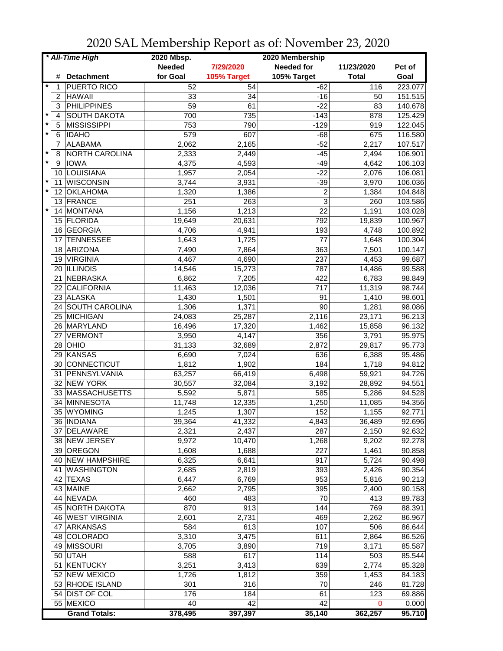| * All-Time High |                      | 2020 Mbsp.      |             | 2020 Membership   |              |         |
|-----------------|----------------------|-----------------|-------------|-------------------|--------------|---------|
|                 |                      | <b>Needed</b>   | 7/29/2020   | <b>Needed for</b> | 11/23/2020   | Pct of  |
| #               | <b>Detachment</b>    | for Goal        | 105% Target | 105% Target       | <b>Total</b> | Goal    |
| 1               | <b>PUERTO RICO</b>   | 52              | 54          | $-62$             | 116          | 223.077 |
| 2               | <b>HAWAII</b>        | 33              | 34          | -16               | 50           | 151.515 |
| 3               | <b>PHILIPPINES</b>   | $\overline{59}$ | 61          | $-22$             | 83           | 140.678 |
| $\star$<br>4    | <b>SOUTH DAKOTA</b>  | 700             | 735         | $-143$            | 878          | 125.429 |
| $\star$<br>5    | <b>MISSISSIPPI</b>   | 753             | 790         | $-129$            | 919          | 122.045 |
| $\star$<br>6    | <b>IDAHO</b>         | 579             | 607         | $-68$             | 675          | 116.580 |
| 7               | <b>ALABAMA</b>       | 2,062           | 2,165       | $-52$             | 2,217        | 107.517 |
| $\star$<br>8    | NORTH CAROLINA       | 2,333           | 2,449       | $-45$             | 2,494        | 106.901 |
| $\star$<br>9    | <b>IOWA</b>          | 4,375           | 4,593       | $-49$             | 4,642        | 106.103 |
|                 | LOUISIANA            |                 |             | $-22$             | 2,076        | 106.081 |
| 10<br>$\star$   | <b>WISCONSIN</b>     | 1,957           | 2,054       |                   |              |         |
| 11<br>$\star$   |                      | 3,744           | 3,931       | $-39$             | 3,970        | 106.036 |
| 12              | <b>OKLAHOMA</b>      | 1,320           | 1,386       | $\overline{c}$    | 1,384        | 104.848 |
| 13<br>$\star$   | FRANCE               | 251             | 263         | 3                 | 260          | 103.586 |
| 14              | MONTANA              | 1,156           | 1,213       | 22                | 1,191        | 103.028 |
|                 | 15 FLORIDA           | 19,649          | 20,631      | 792               | 19,839       | 100.967 |
| 16              | GEORGIA              | 4,706           | 4,941       | 193               | 4,748        | 100.892 |
| 17              | <b>TENNESSEE</b>     | 1,643           | 1,725       | 77                | 1,648        | 100.304 |
| 18              | ARIZONA              | 7,490           | 7,864       | 363               | 7,501        | 100.147 |
| 19              | <b>VIRGINIA</b>      | 4,467           | 4,690       | 237               | 4,453        | 99.687  |
|                 | 20 ILLINOIS          | 14,546          | 15,273      | 787               | 14,486       | 99.588  |
| 21              | NEBRASKA             | 6,862           | 7,205       | 422               | 6,783        | 98.849  |
| 22              | CALIFORNIA           | 11,463          | 12,036      | $\overline{717}$  | 11,319       | 98.744  |
|                 | 23 ALASKA            | 1,430           | 1,501       | 91                | 1,410        | 98.601  |
|                 | 24 SOUTH CAROLINA    | 1,306           | 1,371       | $\overline{90}$   | 1,281        | 98.086  |
|                 | 25 MICHIGAN          | 24,083          | 25,287      | 2,116             | 23,171       | 96.213  |
|                 | 26 MARYLAND          | 16,496          | 17,320      | 1,462             | 15,858       | 96.132  |
| 27              | <b>VERMONT</b>       | 3,950           | 4,147       | 356               | 3,791        | 95.975  |
|                 | $28$ OHIO            | 31,133          | 32,689      | 2,872             | 29,817       | 95.773  |
| 29              | KANSAS               | 6,690           | 7,024       | 636               | 6,388        | 95.486  |
| 30              | CONNECTICUT          | 1,812           | 1,902       | 184               | 1,718        | 94.812  |
| 31              | PENNSYLVANIA         | 63,257          | 66,419      | 6,498             | 59,921       | 94.726  |
|                 | 32 NEW YORK          | 30,557          | 32,084      | 3,192             | 28,892       | 94.551  |
|                 | 33 MASSACHUSETTS     | 5,592           | 5,871       | 585               | 5,286        | 94.528  |
| 34              | MINNESOTA            |                 | 12,335      |                   | 11,085       | 94.356  |
| 35              | <b>WYOMING</b>       | 11,748          |             | 1,250             |              |         |
|                 |                      | 1,245           | 1,307       | 152               | 1,155        | 92.771  |
|                 | 36 INDIANA           | 39,364          | 41,332      | 4,843             | 36,489       | 92.696  |
|                 | 37 DELAWARE          | 2,321           | 2,437       | 287               | 2,150        | 92.632  |
|                 | 38 NEW JERSEY        | 9,972           | 10,470      | 1,268             | 9,202        | 92.278  |
|                 | 39 OREGON            | 1,608           | 1,688       | 227               | 1,461        | 90.858  |
|                 | 40 NEW HAMPSHIRE     | 6,325           | 6,641       | 917               | 5,724        | 90.498  |
|                 | 41 WASHINGTON        | 2,685           | 2,819       | 393               | 2,426        | 90.354  |
|                 | 42 TEXAS             | 6,447           | 6,769       | 953               | 5,816        | 90.213  |
|                 | 43 MAINE             | 2,662           | 2,795       | 395               | 2,400        | 90.158  |
|                 | 44 NEVADA            | 460             | 483         | 70                | 413          | 89.783  |
|                 | 45 NORTH DAKOTA      | 870             | 913         | 144               | 769          | 88.391  |
|                 | 46 WEST VIRGINIA     | 2,601           | 2,731       | 469               | 2,262        | 86.967  |
|                 | 47 ARKANSAS          | 584             | 613         | 107               | 506          | 86.644  |
|                 | 48 COLORADO          | 3,310           | 3,475       | 611               | 2,864        | 86.526  |
|                 | 49 MISSOURI          | 3,705           | 3,890       | 719               | 3,171        | 85.587  |
|                 | 50 UTAH              | 588             | 617         | 114               | 503          | 85.544  |
| 51              | KENTUCKY             | 3,251           | 3,413       | 639               | 2,774        | 85.328  |
|                 | 52 NEW MEXICO        | 1,726           | 1,812       | 359               | 1,453        | 84.183  |
|                 | 53 RHODE ISLAND      | 301             | 316         | 70                | 246          | 81.728  |
|                 | 54 DIST OF COL       | 176             | 184         | 61                | 123          | 69.886  |
|                 | 55 MEXICO            | 40              | 42          | $\overline{42}$   | $\Omega$     | 0.000   |
|                 | <b>Grand Totals:</b> | 378,495         | 397,397     | 35,140            | 362,257      | 95.710  |

2020 SAL Membership Report as of: November 23, 2020